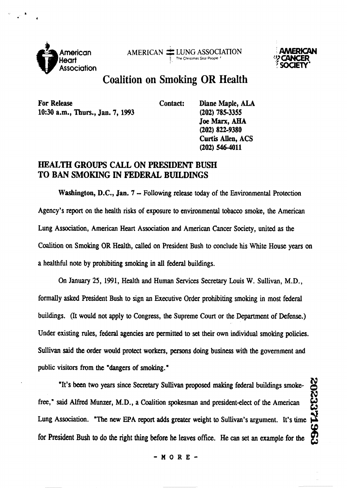



## **Coalition on Smoking OR Health**

For Release **Contact:** Diane Maple, ALA **10:30 a.m., Thurs., Jan. 7, 1993 (202) 785-3355** 

**Joe** *Marx,* **AHA (202) 822-9380 Curtis Allen, ACS (202) 5464011** 

## **HEALTH GROUPS CALL ON PRESIDENT BUSH TO BAN SMOKING IN FEDERAL BUILDINGS**

Washington, D.C., Jan. 7 – Following release today of the Environmental Protection Agency's report on the health risks of exposure to environmental tobacco smoke, the American Lung Association, American Heart Association and American Cancer Society, united **as** the Coalition on Smoking OR Health, **called** on President Bush to conclude his White **House** years on a healthful note by prohibiting smoking in **all** federal buildings.

On January 25, 1991, Health and Human Services Secretary Louis W. Sullivan, M.D., formally asked President Bush to sign an Executive Order prohibiting smoking in most **federal**  buildings. (It would not apply to Congress, the Supreme **Court** or the Department of Defense.) **Under** existing rules, federal agencies are permitted to **set** their own individual smoking policies. **Sullivan** said the order would protect workers, persons doing business with **the** government and public visitors from the "dangers of smoking."

**N** 'It's been two **years** since Secretary **Sullivan** proposed making **federal** buildings smokefree," said Alfred Munzer, M.D., a Coalition spokesman and president-elect of the American Lung Association. "The new EPA report adds greater weight to Sullivan's argument. It's time for President Bush to do the right thing before he leaves office. He can set an example for the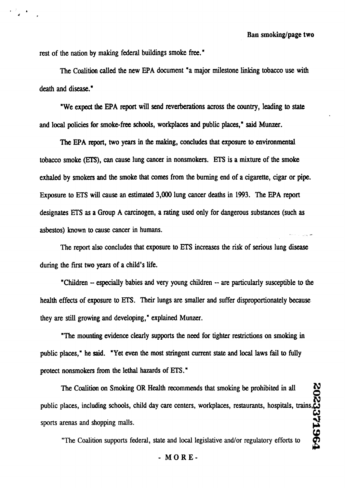rest of the nation by making federal buildings smoke free."

**The Coalition** called the new EPA document "a major milestone linking tobacco use with death and disease."

"We **exped** the EPA **report will** send reverberations across the country, leading to **state**  and local policies for smoke-free schools, workplaces and public places,' said **Munzer.** 

The EPA report, two years **in** the making, concludes that exposure **to** environmental tobacco smoke (EIIS), can cause lung cancer in nonsmokers. **ETS** is a mixture of the smoke exhaled by smokers and the smoke that comes from the burning end of a cigarette, cigar or pipe. Exposure to **ETS** will cause an estimated 3,000 lung cancer deaths in 1993. The EPA report designates **ETS** as a Group A carcinogen, a rating used only for dangerous substances (such as asbestos) known to cause cancer in humans.

The report also concludes that exposure to **ETS** increases the risk of serious lung disease during the first **two** years of a child's life.

"Children - especially babies and very young children -- are particularly susceptible to the health effects of exposure to ETS. Their lungs are smaller and suffer disproportionately because they are still growing and developing," explained Munzer.

"The mounting evidence clearly supports the need for tighter restrictions on smoking in public places," he said. "Yet even **the** most stringent current state and local laws fail to **fully**  protect nonsmokers from the lethal hazards of **ETS.** "

**The** Coalition on Smoking OR Health recommends that smoking be prohibited in all <u>ິຊ</u> public places, including schools, child day care centers, workplaces, restaurants, hospitals, trains **t3**  sports arenas and shopping malls.

"The Coalition supports federal, state and local legislative and/or regulatory efforts to